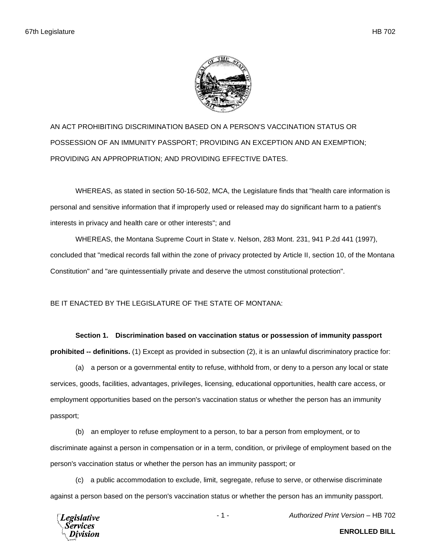

AN ACT PROHIBITING DISCRIMINATION BASED ON A PERSON'S VACCINATION STATUS OR POSSESSION OF AN IMMUNITY PASSPORT; PROVIDING AN EXCEPTION AND AN EXEMPTION; PROVIDING AN APPROPRIATION; AND PROVIDING EFFECTIVE DATES.

WHEREAS, as stated in section 50-16-502, MCA, the Legislature finds that "health care information is personal and sensitive information that if improperly used or released may do significant harm to a patient's interests in privacy and health care or other interests"; and

WHEREAS, the Montana Supreme Court in State v. Nelson, 283 Mont. 231, 941 P.2d 441 (1997), concluded that "medical records fall within the zone of privacy protected by Article II, section 10, of the Montana Constitution" and "are quintessentially private and deserve the utmost constitutional protection".

BE IT ENACTED BY THE LEGISLATURE OF THE STATE OF MONTANA:

## **Section 1. Discrimination based on vaccination status or possession of immunity passport**

**prohibited -- definitions.** (1) Except as provided in subsection (2), it is an unlawful discriminatory practice for:

(a) a person or a governmental entity to refuse, withhold from, or deny to a person any local or state services, goods, facilities, advantages, privileges, licensing, educational opportunities, health care access, or employment opportunities based on the person's vaccination status or whether the person has an immunity passport;

(b) an employer to refuse employment to a person, to bar a person from employment, or to discriminate against a person in compensation or in a term, condition, or privilege of employment based on the person's vaccination status or whether the person has an immunity passport; or

(c) a public accommodation to exclude, limit, segregate, refuse to serve, or otherwise discriminate against a person based on the person's vaccination status or whether the person has an immunity passport.



**ENROLLED BILL**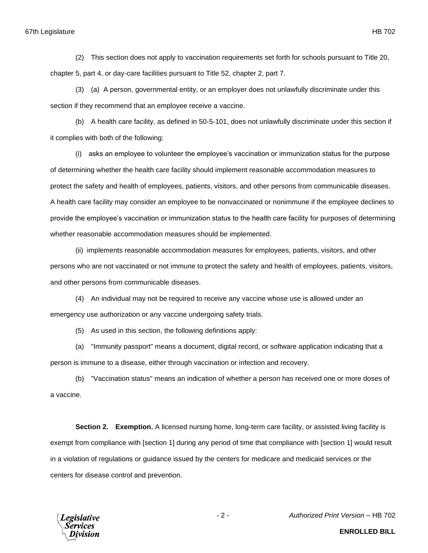(2) This section does not apply to vaccination requirements set forth for schools pursuant to Title 20, chapter 5, part 4, or day-care facilities pursuant to Title 52, chapter 2, part 7.

(3) (a) A person, governmental entity, or an employer does not unlawfully discriminate under this section if they recommend that an employee receive a vaccine.

(b) A health care facility, as defined in 50-5-101, does not unlawfully discriminate under this section if it complies with both of the following:

(i) asks an employee to volunteer the employee's vaccination or immunization status for the purpose of determining whether the health care facility should implement reasonable accommodation measures to protect the safety and health of employees, patients, visitors, and other persons from communicable diseases. A health care facility may consider an employee to be nonvaccinated or nonimmune if the employee declines to provide the employee's vaccination or immunization status to the health care facility for purposes of determining whether reasonable accommodation measures should be implemented.

(ii) implements reasonable accommodation measures for employees, patients, visitors, and other persons who are not vaccinated or not immune to protect the safety and health of employees, patients, visitors, and other persons from communicable diseases.

(4) An individual may not be required to receive any vaccine whose use is allowed under an emergency use authorization or any vaccine undergoing safety trials.

(5) As used in this section, the following definitions apply:

(a) "Immunity passport" means a document, digital record, or software application indicating that a person is immune to a disease, either through vaccination or infection and recovery.

(b) "Vaccination status" means an indication of whether a person has received one or more doses of a vaccine.

**Section 2. Exemption.** A licensed nursing home, long-term care facility, or assisted living facility is exempt from compliance with [section 1] during any period of time that compliance with [section 1] would result in a violation of regulations or guidance issued by the centers for medicare and medicaid services or the centers for disease control and prevention.



- 2 - *Authorized Print Version* – HB 702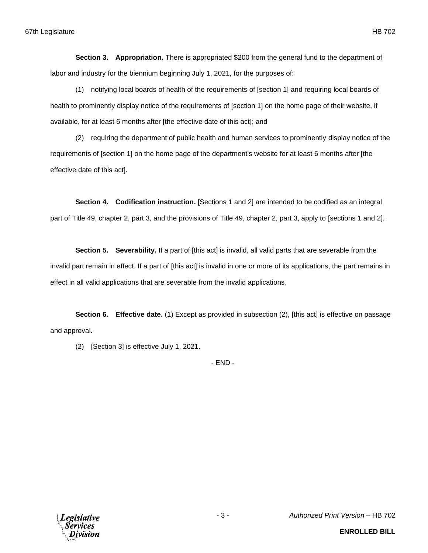**Section 3. Appropriation.** There is appropriated \$200 from the general fund to the department of labor and industry for the biennium beginning July 1, 2021, for the purposes of:

(1) notifying local boards of health of the requirements of [section 1] and requiring local boards of health to prominently display notice of the requirements of [section 1] on the home page of their website, if available, for at least 6 months after [the effective date of this act]; and

(2) requiring the department of public health and human services to prominently display notice of the requirements of [section 1] on the home page of the department's website for at least 6 months after [the effective date of this act].

**Section 4. Codification instruction.** [Sections 1 and 2] are intended to be codified as an integral part of Title 49, chapter 2, part 3, and the provisions of Title 49, chapter 2, part 3, apply to [sections 1 and 2].

**Section 5. Severability.** If a part of [this act] is invalid, all valid parts that are severable from the invalid part remain in effect. If a part of [this act] is invalid in one or more of its applications, the part remains in effect in all valid applications that are severable from the invalid applications.

**Section 6. Effective date.** (1) Except as provided in subsection (2), [this act] is effective on passage and approval.

(2) [Section 3] is effective July 1, 2021.

- END -

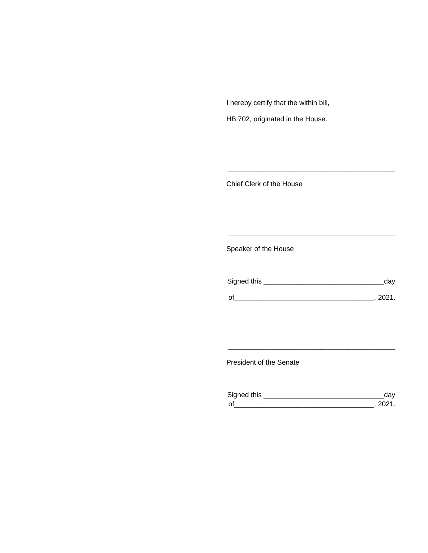I hereby certify that the within bill,

HB 702, originated in the House.

Chief Clerk of the House

Speaker of the House

| Signed this | aav   |
|-------------|-------|
| $\Omega$    | -2021 |

\_\_\_\_\_\_\_\_\_\_\_\_\_\_\_\_\_\_\_\_\_\_\_\_\_\_\_\_\_\_\_\_\_\_\_\_\_\_\_\_\_\_\_

\_\_\_\_\_\_\_\_\_\_\_\_\_\_\_\_\_\_\_\_\_\_\_\_\_\_\_\_\_\_\_\_\_\_\_\_\_\_\_\_\_\_\_

President of the Senate

| Sianed this |  |
|-------------|--|
| $\Omega$    |  |

\_\_\_\_\_\_\_\_\_\_\_\_\_\_\_\_\_\_\_\_\_\_\_\_\_\_\_\_\_\_\_\_\_\_\_\_\_\_\_\_\_\_\_